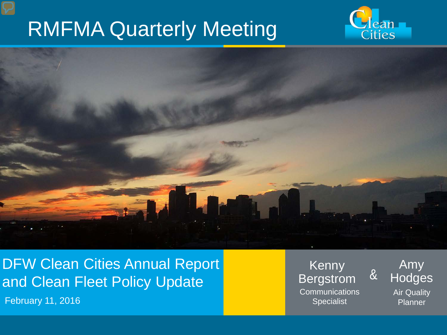# RMFMA Quarterly Meeting





DFW Clean Cities Annual Report and Clean Fleet Policy Update

**February 11, 2016** Specialist Contract Contract Contract Contract Contract Contract Contract Contract Contract Contract Contract Contract Contract Contract Contract Contract Contract Contract Contract Contract Contract Co

Kenny Bergstrom **Communications** 

Amy **Hodges** 

&

Air Quality Planner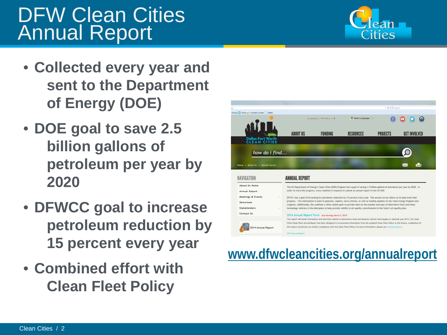### DFW Clean Cities Annual Report

- **Collected every year and sent to the Department of Energy (DOE)**
- **DOE goal to save 2.5 billion gallons of petroleum per year by 2020**
- **DFWCC goal to increase petroleum reduction by 15 percent every year**
- **Combined effort with Clean Fleet Policy**







C Q Searc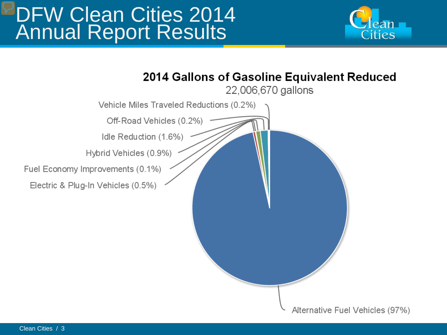### DFW Clean Cities 2014 Annual Report Results



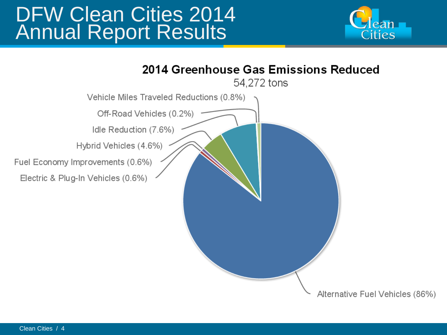### DFW Clean Cities 2014 Annual Report Results



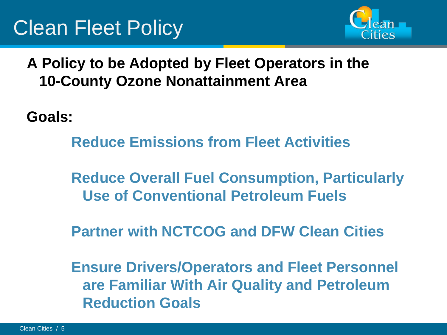

**A Policy to be Adopted by Fleet Operators in the 10-County Ozone Nonattainment Area**

**Goals:**

**Reduce Emissions from Fleet Activities**

**Reduce Overall Fuel Consumption, Particularly Use of Conventional Petroleum Fuels**

**Partner with NCTCOG and DFW Clean Cities**

**Ensure Drivers/Operators and Fleet Personnel are Familiar With Air Quality and Petroleum Reduction Goals**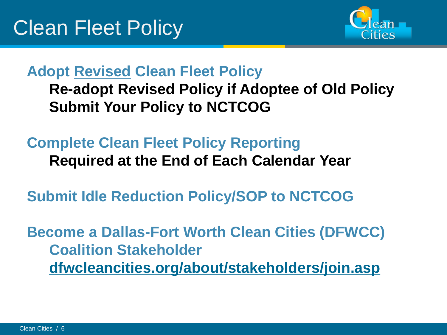

#### **Adopt Revised Clean Fleet Policy Re-adopt Revised Policy if Adoptee of Old Policy Submit Your Policy to NCTCOG**

#### **Complete Clean Fleet Policy Reporting Required at the End of Each Calendar Year**

**Submit Idle Reduction Policy/SOP to NCTCOG**

**Become a Dallas-Fort Worth Clean Cities (DFWCC) Coalition Stakeholder [dfwcleancities.org/about/stakeholders/join.asp](http://www.dfwcleancities.org/about/stakeholders/join.asp)**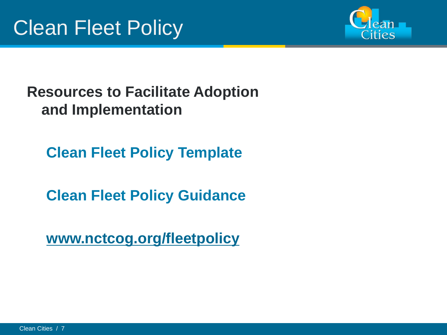

#### **Resources to Facilitate Adoption and Implementation**

**Clean Fleet Policy Template**

**Clean Fleet Policy Guidance**

**[www.nctcog.org/fleetpolicy](http://www.nctcog.org/fleetpolicy)**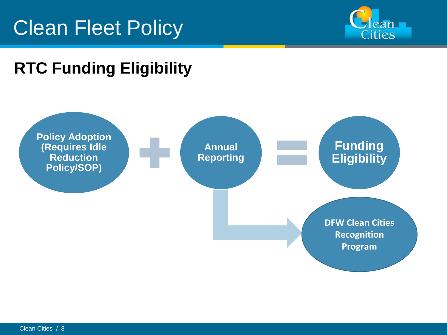# Clean Fleet Policy



### **RTC Funding Eligibility**

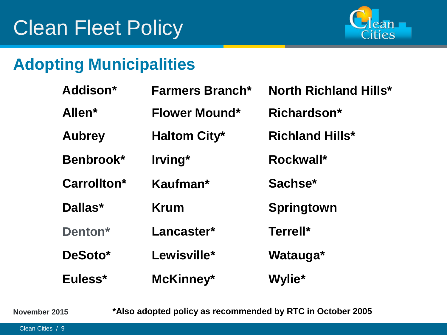

### **Adopting Municipalities**

| Addison*           | <b>Farmers Branch*</b> | <b>North Richland Hills*</b> |
|--------------------|------------------------|------------------------------|
| Allen <sup>*</sup> | <b>Flower Mound*</b>   | Richardson*                  |
| <b>Aubrey</b>      | <b>Haltom City*</b>    | <b>Richland Hills*</b>       |
| Benbrook*          | Irving*                | Rockwall*                    |
| Carrollton*        | Kaufman*               | Sachse*                      |
| Dallas*            | Krum                   | <b>Springtown</b>            |
| Denton*            | Lancaster*             | Terrell*                     |
| DeSoto*            | Lewisville*            | Watauga*                     |
| Euless*            | McKinney*              | Wylie*                       |

**November 2015**

**\*Also adopted policy as recommended by RTC in October 2005**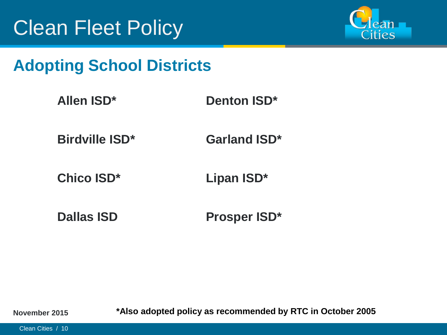

#### **Adopting School Districts**

| <b>Allen ISD*</b> | <b>Denton ISD*</b> |
|-------------------|--------------------|
|                   |                    |

**Birdville ISD\* Garland ISD\***

**Chico ISD\* Lipan ISD\***

**Dallas ISD Prosper ISD\***

**November 2015**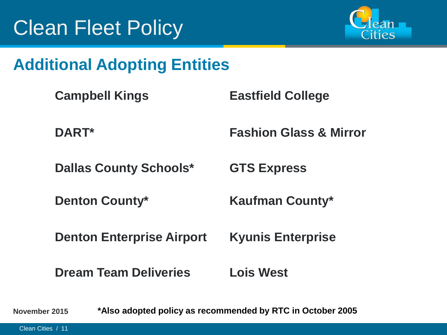

#### **Additional Adopting Entities**

| <b>Campbell Kings</b>            | <b>Eastfield College</b>          |
|----------------------------------|-----------------------------------|
| DART*                            | <b>Fashion Glass &amp; Mirror</b> |
| <b>Dallas County Schools*</b>    | <b>GTS Express</b>                |
| <b>Denton County*</b>            | <b>Kaufman County*</b>            |
| <b>Denton Enterprise Airport</b> | <b>Kyunis Enterprise</b>          |
| <b>Dream Team Deliveries</b>     | <b>Lois West</b>                  |
|                                  |                                   |

**November 2015 \*Also adopted policy as recommended by RTC in October 2005**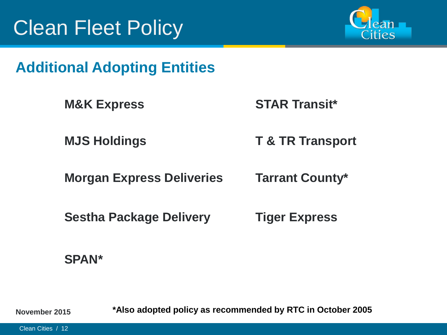

#### **Additional Adopting Entities**

**M&K Express STAR Transit\***

**MJS Holdings T & TR Transport**

**Morgan Express Deliveries Tarrant County\***

**Sestha Package Delivery Tiger Express**

#### **SPAN\***

**November 2015**

**\*Also adopted policy as recommended by RTC in October 2005**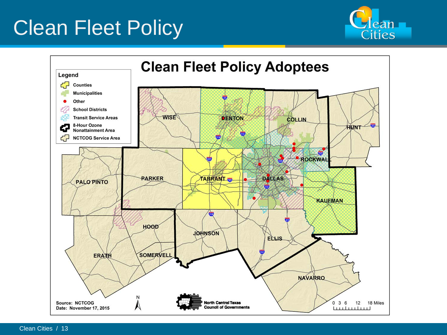# Clean Fleet Policy



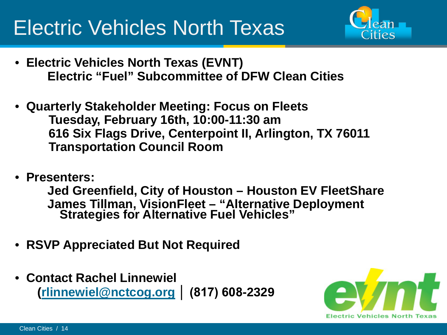# Electric Vehicles North Texas



- **Electric Vehicles North Texas (EVNT) Electric "Fuel" Subcommittee of DFW Clean Cities**
- **Quarterly Stakeholder Meeting: Focus on Fleets** • **Tuesday, February 16th, 10:00-11:30 am** • **616 Six Flags Drive, Centerpoint II, Arlington, TX 76011** • **Transportation Council Room**
- **Presenters:**

**Jed Greenfield, City of Houston – Houston EV FleetShare James Tillman, VisionFleet – "Alternative Deployment Strategies for Alternative Fuel Vehicles"**

- **RSVP Appreciated But Not Required**
- **Contact Rachel Linnewiel ([rlinnewiel@nctcog.org](mailto:rlinnewiel@nctcog.org) │ (817) 608-2329**